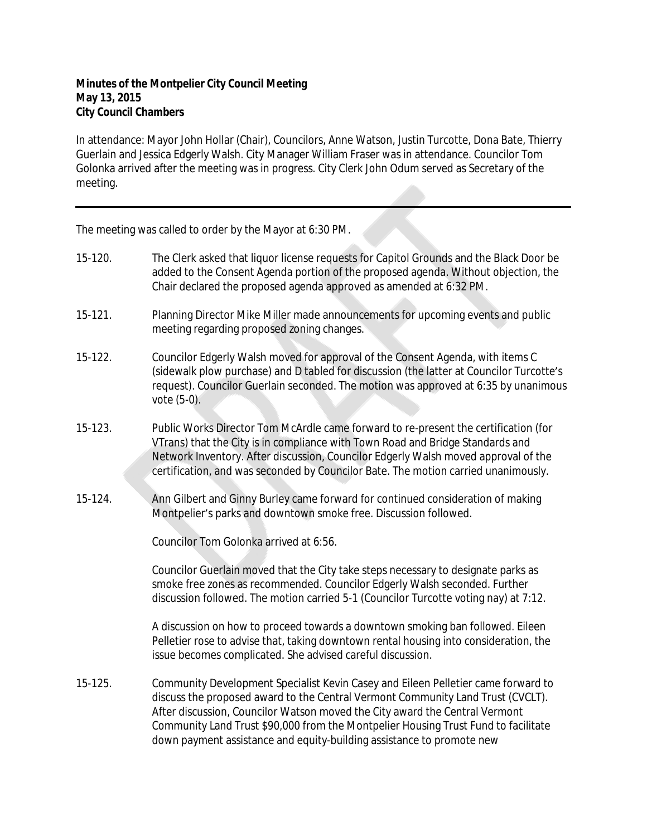## **Minutes of the Montpelier City Council Meeting May 13, 2015 City Council Chambers**

In attendance: Mayor John Hollar (Chair), Councilors, Anne Watson, Justin Turcotte, Dona Bate, Thierry Guerlain and Jessica Edgerly Walsh. City Manager William Fraser was in attendance. Councilor Tom Golonka arrived after the meeting was in progress. City Clerk John Odum served as Secretary of the meeting.

The meeting was called to order by the Mayor at 6:30 PM.

15-120. The Clerk asked that liquor license requests for Capitol Grounds and the Black Door be added to the Consent Agenda portion of the proposed agenda. Without objection, the Chair declared the proposed agenda approved as amended at 6:32 PM. 15-121. Planning Director Mike Miller made announcements for upcoming events and public meeting regarding proposed zoning changes. 15-122. Councilor Edgerly Walsh moved for approval of the Consent Agenda, with items C (sidewalk plow purchase) and D tabled for discussion (the latter at Councilor Turcotte's request). Councilor Guerlain seconded. The motion was approved at 6:35 by unanimous vote (5-0). 15-123. Public Works Director Tom McArdle came forward to re-present the certification (for VTrans) that the City is in compliance with Town Road and Bridge Standards and Network Inventory. After discussion, Councilor Edgerly Walsh moved approval of the certification, and was seconded by Councilor Bate. The motion carried unanimously. 15-124. Ann Gilbert and Ginny Burley came forward for continued consideration of making Montpelier's parks and downtown smoke free. Discussion followed. Councilor Tom Golonka arrived at 6:56. Councilor Guerlain moved that the City take steps necessary to designate parks as smoke free zones as recommended. Councilor Edgerly Walsh seconded. Further discussion followed. The motion carried 5-1 (Councilor Turcotte voting nay) at 7:12. A discussion on how to proceed towards a downtown smoking ban followed. Eileen Pelletier rose to advise that, taking downtown rental housing into consideration, the issue becomes complicated. She advised careful discussion. 15-125. Community Development Specialist Kevin Casey and Eileen Pelletier came forward to discuss the proposed award to the Central Vermont Community Land Trust (CVCLT). After discussion, Councilor Watson moved the City award the Central Vermont Community Land Trust \$90,000 from the Montpelier Housing Trust Fund to facilitate

down payment assistance and equity-building assistance to promote new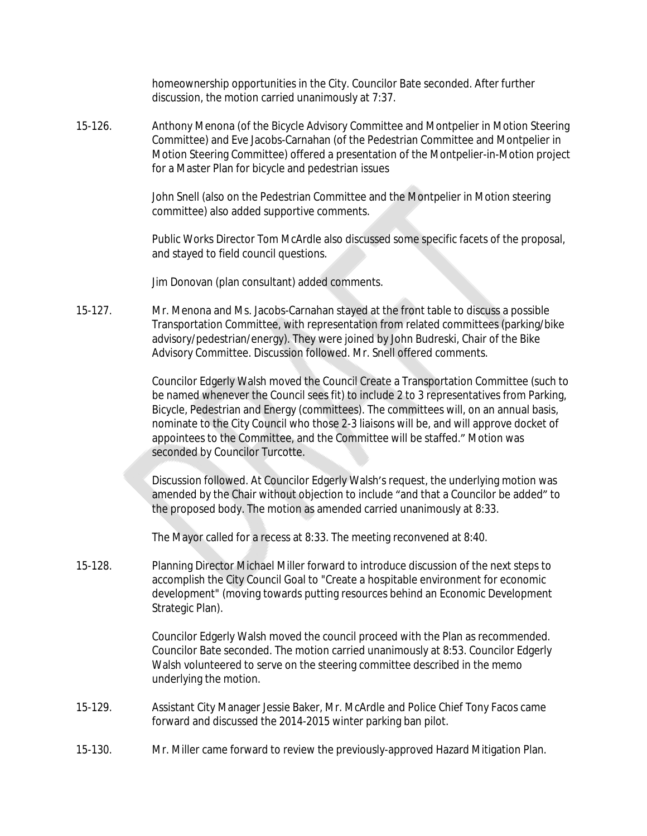homeownership opportunities in the City. Councilor Bate seconded. After further discussion, the motion carried unanimously at 7:37.

15-126. Anthony Menona (of the Bicycle Advisory Committee and Montpelier in Motion Steering Committee) and Eve Jacobs-Carnahan (of the Pedestrian Committee and Montpelier in Motion Steering Committee) offered a presentation of the Montpelier-in-Motion project for a Master Plan for bicycle and pedestrian issues

> John Snell (also on the Pedestrian Committee and the Montpelier in Motion steering committee) also added supportive comments.

Public Works Director Tom McArdle also discussed some specific facets of the proposal, and stayed to field council questions.

Jim Donovan (plan consultant) added comments.

15-127. Mr. Menona and Ms. Jacobs-Carnahan stayed at the front table to discuss a possible Transportation Committee, with representation from related committees (parking/bike advisory/pedestrian/energy). They were joined by John Budreski, Chair of the Bike Advisory Committee. Discussion followed. Mr. Snell offered comments.

> Councilor Edgerly Walsh moved the Council Create a Transportation Committee (such to be named whenever the Council sees fit) to include 2 to 3 representatives from Parking, Bicycle, Pedestrian and Energy (committees). The committees will, on an annual basis, nominate to the City Council who those 2-3 liaisons will be, and will approve docket of appointees to the Committee, and the Committee will be staffed." Motion was seconded by Councilor Turcotte.

Discussion followed. At Councilor Edgerly Walsh's request, the underlying motion was amended by the Chair without objection to include "and that a Councilor be added" to the proposed body. The motion as amended carried unanimously at 8:33.

The Mayor called for a recess at 8:33. The meeting reconvened at 8:40.

15-128. Planning Director Michael Miller forward to introduce discussion of the next steps to accomplish the City Council Goal to "Create a hospitable environment for economic development" (moving towards putting resources behind an Economic Development Strategic Plan).

> Councilor Edgerly Walsh moved the council proceed with the Plan as recommended. Councilor Bate seconded. The motion carried unanimously at 8:53. Councilor Edgerly Walsh volunteered to serve on the steering committee described in the memo underlying the motion.

- 15-129. Assistant City Manager Jessie Baker, Mr. McArdle and Police Chief Tony Facos came forward and discussed the 2014-2015 winter parking ban pilot.
- 15-130. Mr. Miller came forward to review the previously-approved Hazard Mitigation Plan.